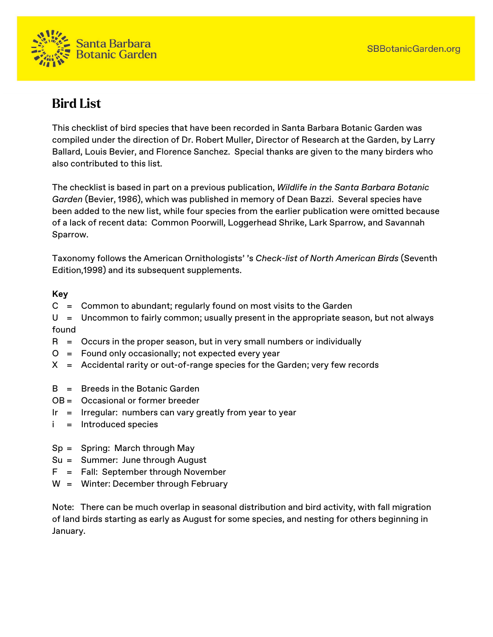

## **Bird List**

This checklist of bird species that have been recorded in Santa Barbara Botanic Garden was compiled under the direction of Dr. Robert Muller, Director of Research at the Garden, by Larry Ballard, Louis Bevier, and Florence Sanchez. Special thanks are given to the many birders who also contributed to this list.

The checklist is based in part on a previous publication, *Wildlife in the Santa Barbara Botanic Garden* (Bevier, 1986), which was published in memory of Dean Bazzi. Several species have been added to the new list, while four species from the earlier publication were omitted because of a lack of recent data: Common Poorwill, Loggerhead Shrike, Lark Sparrow, and Savannah Sparrow.

Taxonomy follows the American Ornithologists' 's *Check-list of North American Birds* (Seventh Edition,1998) and its subsequent supplements.

## **Key**

- $C =$  Common to abundant; regularly found on most visits to the Garden
- U = Uncommon to fairly common; usually present in the appropriate season, but not always found
- $R =$  Occurs in the proper season, but in very small numbers or individually
- O = Found only occasionally; not expected every year
- X = Accidental rarity or out-of-range species for the Garden; very few records
- $B = B$  reeds in the Botanic Garden
- OB = Occasional or former breeder
- Ir  $=$  Irregular: numbers can vary greatly from year to year
- i = Introduced species
- Sp = Spring: March through May
- Su = Summer: June through August
- F = Fall: September through November
- W = Winter: December through February

Note: There can be much overlap in seasonal distribution and bird activity, with fall migration of land birds starting as early as August for some species, and nesting for others beginning in January.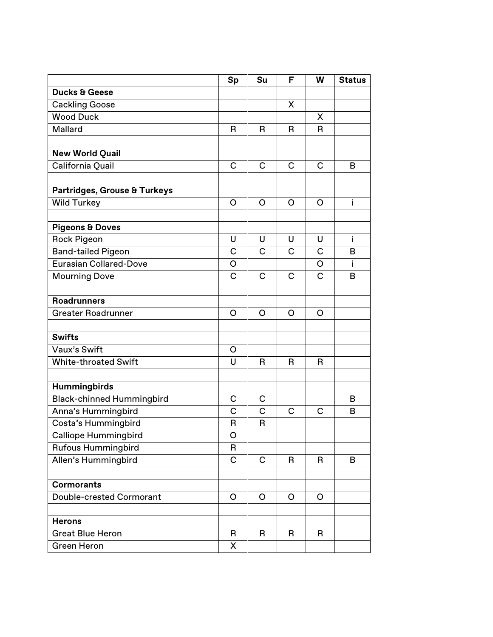|                                                            | Sp           | Su             | F            | W            | <b>Status</b> |
|------------------------------------------------------------|--------------|----------------|--------------|--------------|---------------|
| <b>Ducks &amp; Geese</b>                                   |              |                |              |              |               |
| <b>Cackling Goose</b>                                      |              |                | X            |              |               |
| <b>Wood Duck</b>                                           |              |                |              | X            |               |
| Mallard                                                    | R            | R              | R            | $\mathsf{R}$ |               |
|                                                            |              |                |              |              |               |
| <b>New World Quail</b>                                     |              |                |              |              |               |
| California Quail                                           | $\mathsf{C}$ | $\mathsf{C}$   | $\mathsf{C}$ | $\mathsf{C}$ | B             |
| Partridges, Grouse & Turkeys                               |              |                |              |              |               |
| <b>Wild Turkey</b>                                         | $\circ$      | $\circ$        | O            | $\circ$      | i.            |
|                                                            |              |                |              |              |               |
| <b>Pigeons &amp; Doves</b>                                 | U            | U              | U            | U            | İ             |
| <b>Rock Pigeon</b>                                         | $\mathsf{C}$ | $\overline{C}$ | C            | $\mathbf C$  | B             |
| <b>Band-tailed Pigeon</b><br><b>Eurasian Collared-Dove</b> |              |                |              |              |               |
|                                                            | O            |                |              | O            | j.            |
| <b>Mourning Dove</b>                                       | $\mathsf{C}$ | $\mathsf{C}$   | $\mathsf{C}$ | $\mathsf{C}$ | B             |
| <b>Roadrunners</b>                                         |              |                |              |              |               |
| <b>Greater Roadrunner</b>                                  | O            | O              | O            | O            |               |
| <b>Swifts</b>                                              |              |                |              |              |               |
| Vaux's Swift                                               | O            |                |              |              |               |
| <b>White-throated Swift</b>                                | $\cup$       | R              | R            | $\mathsf{R}$ |               |
|                                                            |              |                |              |              |               |
| Hummingbirds                                               |              |                |              |              |               |
| <b>Black-chinned Hummingbird</b>                           | $\mathsf{C}$ | $\mathsf{C}$   |              |              | B             |
| Anna's Hummingbird                                         | $\mathsf{C}$ | $\mathsf{C}$   | $\mathsf{C}$ | $\mathbf C$  | B             |
| Costa's Hummingbird                                        | R            | R              |              |              |               |
| Calliope Hummingbird                                       | O            |                |              |              |               |
| <b>Rufous Hummingbird</b>                                  | R            |                |              |              |               |
| Allen's Hummingbird                                        | $\mathsf{C}$ | $\mathsf{C}$   | R            | B.           | B             |
| <b>Cormorants</b>                                          |              |                |              |              |               |
| Double-crested Cormorant                                   | $\circ$      | $\circ$        | O            | $\mathsf{O}$ |               |
|                                                            |              |                |              |              |               |
| <b>Herons</b>                                              |              |                |              |              |               |
| <b>Great Blue Heron</b>                                    | R            | R              | R            | R            |               |
| Green Heron                                                | X            |                |              |              |               |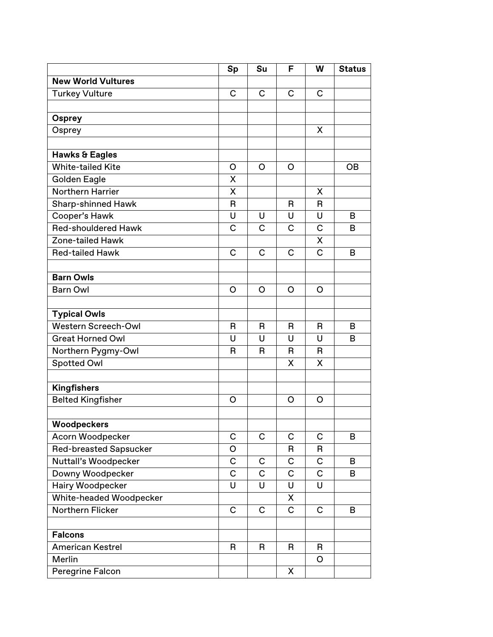|                                | Sp                      | Su                      | F           | W                       | <b>Status</b> |
|--------------------------------|-------------------------|-------------------------|-------------|-------------------------|---------------|
| <b>New World Vultures</b>      |                         |                         |             |                         |               |
| <b>Turkey Vulture</b>          | C                       | C                       | C           | C                       |               |
|                                |                         |                         |             |                         |               |
| <b>Osprey</b>                  |                         |                         |             |                         |               |
| Osprey                         |                         |                         |             | X                       |               |
|                                |                         |                         |             |                         |               |
| <b>Hawks &amp; Eagles</b>      |                         |                         |             |                         |               |
| <b>White-tailed Kite</b>       | O                       | $\circ$                 | $\circ$     |                         | <b>OB</b>     |
| <b>Golden Eagle</b>            | X                       |                         |             |                         |               |
| <b>Northern Harrier</b>        | X                       |                         |             | X                       |               |
| <b>Sharp-shinned Hawk</b>      | $\mathsf{R}$            |                         | R           | R                       |               |
| Cooper's Hawk                  | U                       | U                       | U           | U                       | B             |
| <b>Red-shouldered Hawk</b>     | C                       | C                       | C           | C                       | B             |
| <b>Zone-tailed Hawk</b>        |                         |                         |             | X                       |               |
| <b>Red-tailed Hawk</b>         | C                       | C                       | C           | C                       | B             |
|                                |                         |                         |             |                         |               |
| <b>Barn Owls</b>               |                         |                         |             |                         |               |
| <b>Barn Owl</b>                | O                       | O                       | O           | O                       |               |
|                                |                         |                         |             |                         |               |
| <b>Typical Owls</b>            |                         |                         |             |                         |               |
| <b>Western Screech-Owl</b>     | R                       | $\mathsf{R}$            | R           | R                       | в             |
| <b>Great Horned Owl</b>        | U                       | U                       | U           | U                       | B             |
| Northern Pygmy-Owl             | R                       | R                       | R           | R                       |               |
| Spotted Owl                    |                         |                         | Χ           | X                       |               |
|                                |                         |                         |             |                         |               |
| <b>Kingfishers</b>             |                         |                         |             |                         |               |
| <b>Belted Kingfisher</b>       | O                       |                         | O           | O                       |               |
|                                |                         |                         |             |                         |               |
| Woodpeckers                    |                         |                         |             |                         |               |
| Acorn Woodpecker               | $\mathsf{C}$            | $\mathsf{C}$            | $\mathsf C$ | $\mathsf{C}$            | B             |
| <b>Red-breasted Sapsucker</b>  | O                       |                         | R           | R                       |               |
| Nuttall's Woodpecker           | $\mathsf C$             | $\mathsf C$             | C           | $\mathsf C$             | B             |
| Downy Woodpecker               | $\mathsf C$             | C                       | $\mathsf C$ | $\mathsf C$             | B             |
| Hairy Woodpecker               | $\overline{\mathsf{U}}$ | $\overline{\mathsf{U}}$ | U           | $\overline{\mathsf{U}}$ |               |
| <b>White-headed Woodpecker</b> |                         |                         | X           |                         |               |
| Northern Flicker               | $\mathsf{C}$            | $\mathsf C$             | $\mathsf C$ | $\mathsf C$             | B             |
|                                |                         |                         |             |                         |               |
| <b>Falcons</b>                 |                         |                         |             |                         |               |
| <b>American Kestrel</b>        | R                       | R                       | R           | R                       |               |
| Merlin                         |                         |                         |             | O                       |               |
| Peregrine Falcon               |                         |                         | X           |                         |               |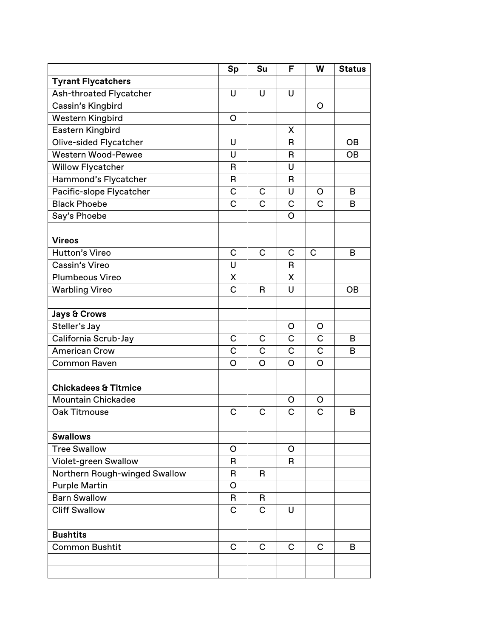|                                 | Sp             | Su           | F            | W            | <b>Status</b> |
|---------------------------------|----------------|--------------|--------------|--------------|---------------|
| <b>Tyrant Flycatchers</b>       |                |              |              |              |               |
| Ash-throated Flycatcher         | U              | U            | U            |              |               |
| Cassin's Kingbird               |                |              |              | O            |               |
| <b>Western Kingbird</b>         | O              |              |              |              |               |
| Eastern Kingbird                |                |              | X            |              |               |
| <b>Olive-sided Flycatcher</b>   | U              |              | R            |              | <b>OB</b>     |
| <b>Western Wood-Pewee</b>       | U              |              | R            |              | <b>OB</b>     |
| <b>Willow Flycatcher</b>        | R              |              | U            |              |               |
| Hammond's Flycatcher            | $\mathsf{R}$   |              | R            |              |               |
| Pacific-slope Flycatcher        | $\mathsf C$    | $\mathsf{C}$ | Ù            | O            | B             |
| <b>Black Phoebe</b>             | $\mathsf{C}$   | C            | C            | $\mathsf{C}$ | B             |
| Say's Phoebe                    |                |              | $\circ$      |              |               |
|                                 |                |              |              |              |               |
| <b>Vireos</b>                   |                |              |              |              |               |
| Hutton's Vireo                  | $\mathsf{C}$   | $\mathsf{C}$ | $\mathsf{C}$ | $\mathsf{C}$ | B             |
| Cassin's Vireo                  | U              |              | R            |              |               |
| <b>Plumbeous Vireo</b>          | X              |              | X            |              |               |
| <b>Warbling Vireo</b>           | $\mathsf{C}$   | R            | U            |              | <b>OB</b>     |
| <b>Jays &amp; Crows</b>         |                |              |              |              |               |
| Steller's Jay                   |                |              | O            | $\circ$      |               |
| California Scrub-Jay            | $\mathsf{C}$   | $\mathsf C$  | C            | $\mathsf C$  | B             |
| American Crow                   | $\overline{C}$ | C            | C            | $\mathsf{C}$ | B             |
| <b>Common Raven</b>             | $\circ$        | O            | $\circ$      | $\circ$      |               |
|                                 |                |              |              |              |               |
| <b>Chickadees &amp; Titmice</b> |                |              |              |              |               |
| <b>Mountain Chickadee</b>       |                |              | $\circ$      | O            |               |
| Oak Titmouse                    | $\mathsf C$    | C            | C            | $\mathsf C$  | B             |
|                                 |                |              |              |              |               |
| <b>Swallows</b>                 |                |              |              |              |               |
| <b>Tree Swallow</b>             | O              |              | O            |              |               |
| Violet-green Swallow            | R              |              | R            |              |               |
| Northern Rough-winged Swallow   | R              | R            |              |              |               |
| <b>Purple Martin</b>            | $\circ$        |              |              |              |               |
| <b>Barn Swallow</b>             | R              | R            |              |              |               |
| <b>Cliff Swallow</b>            | $\mathsf{C}$   | C            | U            |              |               |
| <b>Bushtits</b>                 |                |              |              |              |               |
| <b>Common Bushtit</b>           | C              | C            | C            | C            | B             |
|                                 |                |              |              |              |               |
|                                 |                |              |              |              |               |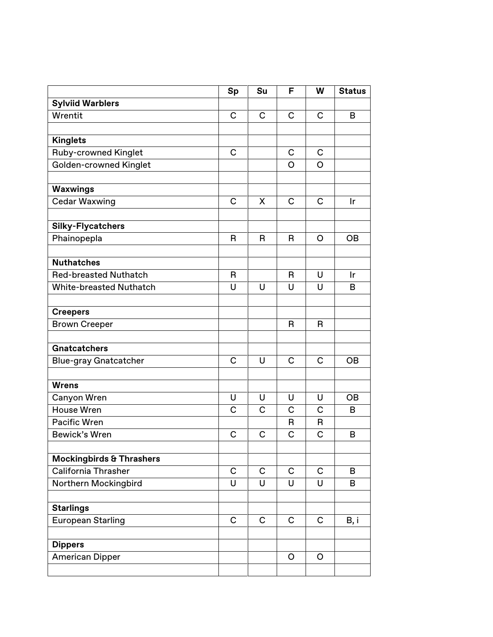|                                     | Sp             | Su           | F              | W              | <b>Status</b> |
|-------------------------------------|----------------|--------------|----------------|----------------|---------------|
| <b>Sylviid Warblers</b>             |                |              |                |                |               |
| Wrentit                             | $\mathsf{C}$   | C            | C              | $\mathsf{C}$   | B             |
|                                     |                |              |                |                |               |
| <b>Kinglets</b>                     |                |              |                |                |               |
| <b>Ruby-crowned Kinglet</b>         | C              |              | C              | C              |               |
| <b>Golden-crowned Kinglet</b>       |                |              | O              | $\overline{O}$ |               |
|                                     |                |              |                |                |               |
| Waxwings                            |                |              |                |                |               |
| <b>Cedar Waxwing</b>                | $\mathsf{C}$   | X            | $\mathsf{C}$   | $\mathsf{C}$   | Ir            |
|                                     |                |              |                |                |               |
| <b>Silky-Flycatchers</b>            |                |              |                |                |               |
| Phainopepla                         | R              | R            | R              | $\circ$        | <b>OB</b>     |
|                                     |                |              |                |                |               |
| <b>Nuthatches</b>                   |                |              |                |                |               |
| <b>Red-breasted Nuthatch</b>        | R              |              | R              | U              | Ir            |
| <b>White-breasted Nuthatch</b>      | U              | U            | U              | U              | B             |
|                                     |                |              |                |                |               |
| <b>Creepers</b>                     |                |              |                |                |               |
| <b>Brown Creeper</b>                |                |              | $\overline{B}$ | R              |               |
| <b>Gnatcatchers</b>                 |                |              |                |                |               |
| <b>Blue-gray Gnatcatcher</b>        | $\mathsf{C}$   | U            | $\mathsf{C}$   | $\mathsf{C}$   | <b>OB</b>     |
|                                     |                |              |                |                |               |
| <b>Wrens</b>                        |                |              |                |                |               |
| Canyon Wren                         | U              | U            | U              | U              | <b>OB</b>     |
| <b>House Wren</b>                   | $\overline{C}$ | C            | C              | $\mathsf{C}$   | B             |
| <b>Pacific Wren</b>                 |                |              | R              | R              |               |
| Bewick's Wren                       | $\mathsf C$    | $\mathsf{C}$ | C              | $\overline{C}$ | B             |
|                                     |                |              |                |                |               |
| <b>Mockingbirds &amp; Thrashers</b> |                |              |                |                |               |
| <b>California Thrasher</b>          | $\mathsf C$    | $\mathsf C$  | C              | $\mathsf{C}$   | B             |
| Northern Mockingbird                | U              | U            | U              | U              | B             |
|                                     |                |              |                |                |               |
| <b>Starlings</b>                    |                |              |                |                |               |
| European Starling                   | $\mathbf C$    | $\mathsf C$  | $\mathsf C$    | $\mathsf{C}$   | B, i          |
|                                     |                |              |                |                |               |
| <b>Dippers</b>                      |                |              |                |                |               |
| <b>American Dipper</b>              |                |              | O              | $\circ$        |               |
|                                     |                |              |                |                |               |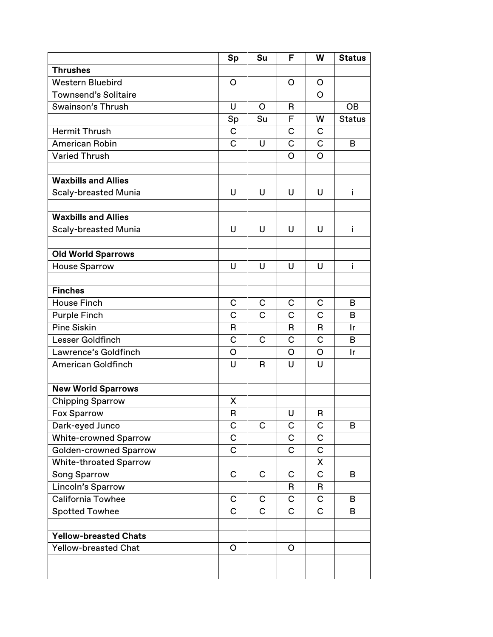|                               | Sp             | Su           | F              | W              | <b>Status</b> |
|-------------------------------|----------------|--------------|----------------|----------------|---------------|
| <b>Thrushes</b>               |                |              |                |                |               |
| <b>Western Bluebird</b>       | O              |              | O              | O              |               |
| <b>Townsend's Solitaire</b>   |                |              |                | O              |               |
| Swainson's Thrush             | U              | O            | R              |                | <b>OB</b>     |
|                               | Sp             | Su           | F              | W              | <b>Status</b> |
| Hermit Thrush                 | $\mathsf{C}$   |              | $\mathsf C$    | C              |               |
| <b>American Robin</b>         | $\overline{C}$ | U            | $\overline{C}$ | $\mathbf C$    | B             |
| <b>Varied Thrush</b>          |                |              | O              | $\overline{O}$ |               |
|                               |                |              |                |                |               |
| <b>Waxbills and Allies</b>    |                |              |                |                |               |
| <b>Scaly-breasted Munia</b>   | U              | U            | U              | U              | i.            |
|                               |                |              |                |                |               |
| <b>Waxbills and Allies</b>    |                |              |                |                |               |
| <b>Scaly-breasted Munia</b>   | $\cup$         | U            | U              | $\cup$         | i             |
|                               |                |              |                |                |               |
| <b>Old World Sparrows</b>     |                |              |                |                |               |
| <b>House Sparrow</b>          | U              | U            | U              | $\cup$         | i             |
|                               |                |              |                |                |               |
| <b>Finches</b>                |                |              |                |                |               |
| <b>House Finch</b>            | $\mathsf{C}$   | C            | C              | C              | B             |
| <b>Purple Finch</b>           | $\mathsf{C}$   | C            | C              | $\overline{C}$ | B             |
| <b>Pine Siskin</b>            | R              |              | R              | R              | Ir            |
| Lesser Goldfinch              | $\overline{C}$ | $\mathsf{C}$ | $\mathsf C$    | $\mathbf C$    | B             |
| Lawrence's Goldfinch          | O              |              | O              | O              | Ir            |
| <b>American Goldfinch</b>     | U              | R            | U              | U              |               |
|                               |                |              |                |                |               |
| <b>New World Sparrows</b>     |                |              |                |                |               |
| <b>Chipping Sparrow</b>       | X              |              |                |                |               |
| Fox Sparrow                   | $\mathsf R$    |              | U              | ${\sf R}$      |               |
| Dark-eyed Junco               | $\mathsf C$    | C            | C              | $\mathsf C$    | B             |
| <b>White-crowned Sparrow</b>  | $\mathsf C$    |              | C              | C              |               |
| <b>Golden-crowned Sparrow</b> | $\mathsf{C}$   |              | $\overline{C}$ | $\mathsf C$    |               |
| <b>White-throated Sparrow</b> |                |              |                | X              |               |
| <b>Song Sparrow</b>           | $\mathsf{C}$   | C            | C              | $\mathsf C$    | B             |
| Lincoln's Sparrow             |                |              | R              | R              |               |
| <b>California Towhee</b>      | $\mathsf{C}$   | $\mathsf C$  | $\mathsf C$    | $\mathsf C$    | B             |
| <b>Spotted Towhee</b>         | C              | C            | $\mathsf C$    | $\mathsf C$    | В             |
|                               |                |              |                |                |               |
| <b>Yellow-breasted Chats</b>  |                |              |                |                |               |
| <b>Yellow-breasted Chat</b>   | O              |              | O              |                |               |
|                               |                |              |                |                |               |
|                               |                |              |                |                |               |
|                               |                |              |                |                |               |